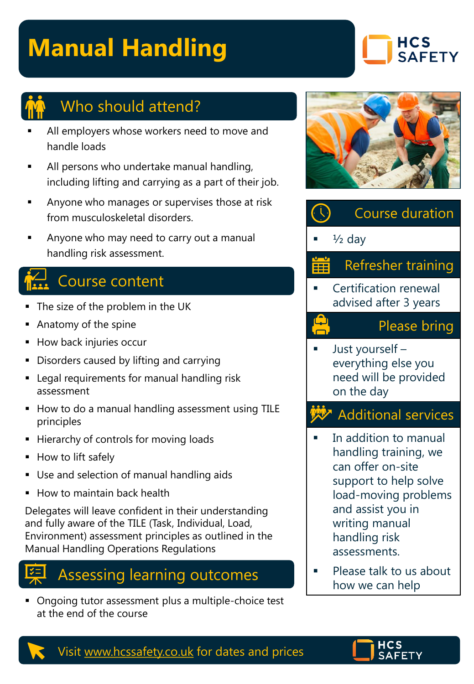# **Manual Handling**





### Who should attend?

- All employers whose workers need to move and handle loads
- All persons who undertake manual handling, including lifting and carrying as a part of their job.
- Anyone who manages or supervises those at risk from musculoskeletal disorders.
- Anyone who may need to carry out a manual handling risk assessment.

## Course content

- The size of the problem in the UK
- Anatomy of the spine
- How back injuries occur
- Disorders caused by lifting and carrying
- Legal requirements for manual handling risk assessment
- How to do a manual handling assessment using TILE principles
- **EXECUTE:** Hierarchy of controls for moving loads
- How to lift safely
- **■** Use and selection of manual handling aids
- **How to maintain back health**

Delegates will leave confident in their understanding and fully aware of the TILE (Task, Individual, Load, Environment) assessment principles as outlined in the Manual Handling Operations Regulations



■ Ongoing tutor assessment plus a multiple-choice test at the end of the course





Just yourself – everything else you need will be provided on the day

#### **W** Additional services

- In addition to manual handling training, we can offer on-site support to help solve load-moving problems and assist you in writing manual handling risk assessments.
- Please talk to us about how we can help



Visit [www.hcssafety.co.uk](http://www.hcssafety.co.uk/) for dates and prices